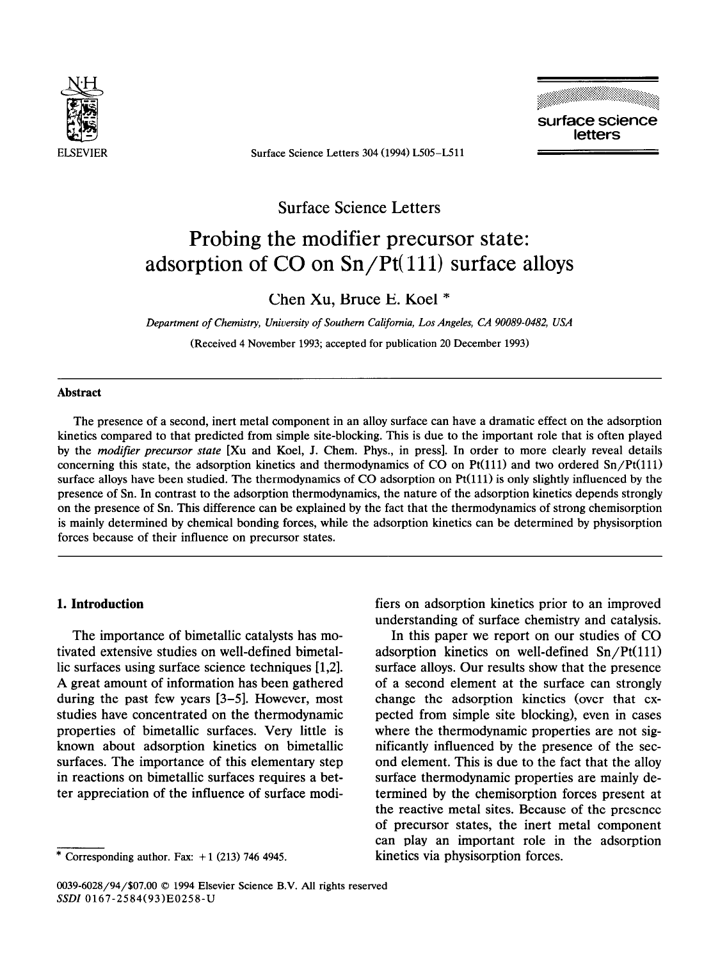

**ELSEVIER Surface** Science Letters 304 (1994) L505-L511



Surface Science Letters

# Probing the modifier precursor state: adsorption of CO on Sn/Pt( 111) surface alloys

# Chen Xu, Bruce E. **Koel \***

Department of Chemistry, University of Southern California, Los Angeles, CA 90089-0482, USA (Received 4 November 1993; accepted for publication 20 December 1993)

## **Abstract**

The presence of a second, inert metal component in an alloy surface can have a dramatic effect on the adsorption kinetics compared to that predicted from simple site-blocking. This is due to the important role that is often played by the *modifier precursor state* [XII and Koel, J. **Chem.** Phys., in press]. In order to more clearly reveal details concerning this state, the adsorption kinetics and thermodynamics of **CO** on Pt(ll1) and two ordered Sn/Pt(lll) surface alloys have been studied. The thermodynamics of CO adsorption on Pt(111) is only slightly influenced by the presence of Sn. In contrast to the adsorption thermodynamics, the nature of the adsorption kinetics depends strongly on the presence of Sn. This difference can be explained by the fact that the thermodynamics of strong chemisorption is mainly determined by chemical bonding forces, while the adsorption kinetics can be determined by physisorption forces because of their influence on precursor states.

# **1. Introduction**

The importance of bimetallic catalysts has motivated extensive studies on well-defined bimetallic surfaces using surface science techniques [1,2]. A great amount of information has been gathered during the past few years [3-51. However, most studies have concentrated on the thermodynamic properties of bimetallic surfaces. Very little is known about adsorption kinetics on bimetallic surfaces. The importance of this elementary step in reactions on bimetallic surfaces requires a better appreciation of the influence of surface modifiers on adsorption kinetics prior to an improved understanding of surface chemistry and catalysis.

In this paper we report on our studies of CO adsorption kinetics on well-defined  $Sn/Pt(111)$ surface alloys. Our results show that the presence of a second element at the surface can strongly change the adsorption kinetics (over that expected from simple site blocking), even in cases where the thermodynamic properties are not significantly influenced by the presence of the second element. This is due to the fact that the alloy surface thermodynamic properties are mainly determined by the chemisorption forces present at the reactive metal sites. Because of the presence of precursor states, the inert metal component can play an important role in the adsorption kinetics via physisorption forces.

**<sup>\*</sup> Corresponding author.** Fax: + **1 (213) 746 4945.** 

*<sup>0039-6028/94/\$07.00 0 1994</sup>* Elsevier **Science** B.V. All rights reserved *SSDI* 0167-2584(93)E0258-U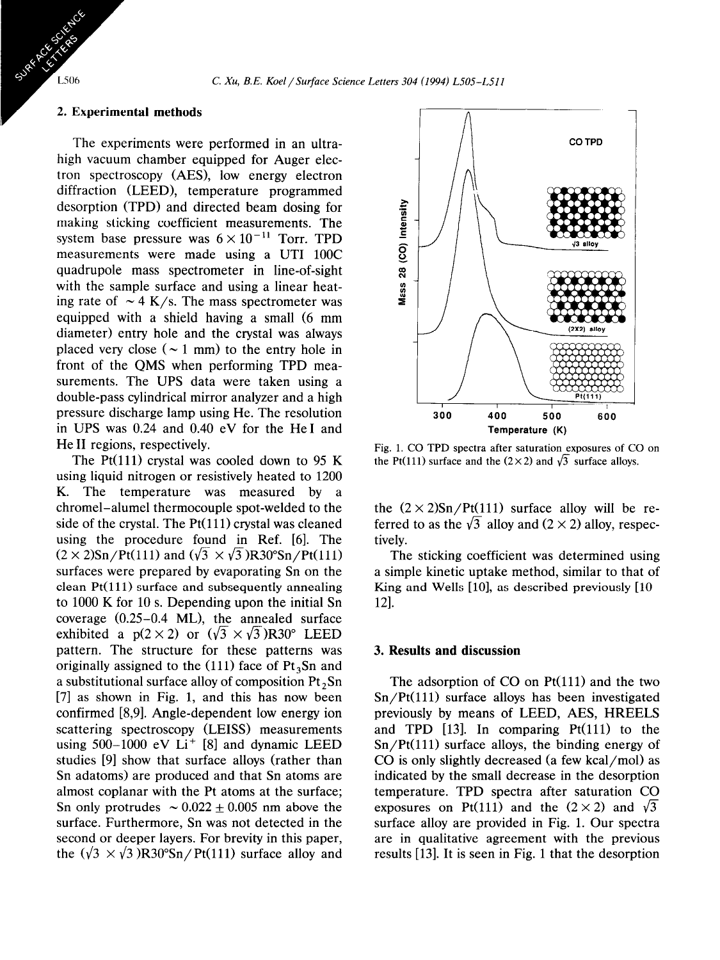#### **2. Experimental methods**

The experiments were performed in an ultrahigh vacuum chamber equipped for Auger electron spectroscopy (AES), low energy electron diffraction (LEED), temperature programmed desorption (TPD) and directed beam dosing for making sticking coefficient measurements. The system base pressure was  $6 \times 10^{-11}$  Torr. TPD measurements were made using a UTI 100C quadrupole mass spectrometer in line-of-sight with the sample surface and using a linear heating rate of  $\sim$  4 K/s. The mass spectrometer was equipped with a shield having a small (6 mm diameter) entry hole and the crystal was always placed very close ( $\sim$  1 mm) to the entry hole in front of the QMS when performing TPD measurements. The UPS data were taken using a double-pass cylindrical mirror analyzer and a high pressure discharge lamp using He. The resolution in UPS was 0.24 and 0.40 eV for the He1 and He II regions, respectively.

The Pt(111) crystal was cooled down to 95 K using liquid nitrogen or resistively heated to 1200 K. The temperature was measured by a chromel-alumel thermocouple spot-welded to the side of the crystal. The  $Pt(111)$  crystal was cleaned using the procedure found in Ref. [6]. The  $(2 \times 2)$ Sn/Pt(111) and  $(\sqrt{3} \times \sqrt{3})$ R30°Sn/Pt(111) surfaces were prepared by evaporating Sn on the clean  $Pt(111)$  surface and subsequently annealing to 1000 K for 10 s. Depending upon the initial Sn coverage (0.25-0.4 ML), the annealed surface exhibited a  $p(2 \times 2)$  or  $(\sqrt{3} \times \sqrt{3})R30^\circ$  LEED pattern. The structure for these patterns was originally assigned to the (111) face of  $Pt<sub>3</sub>Sn$  and a substitutional surface alloy of composition Pt ,Sn [7] as shown in Fig. 1, and this has now been confirmed [8,9]. Angle-dependent low energy ion scattering spectroscopy (LEISS) measurements using  $500-1000$  eV Li<sup>+</sup> [8] and dynamic LEED studies [9] show that surface alloys (rather than Sn adatoms) are produced and that Sn atoms are almost coplanar with the Pt atoms at the surface; Sn only protrudes  $\sim 0.022 \pm 0.005$  nm above the surface. Furthermore, Sn was not detected in the second or deeper layers. For brevity in this paper, the  $(\sqrt{3} \times \sqrt{3})R30^{\circ}Sn/Pt(111)$  surface alloy and



Fig. 1. CO TPD spectra after saturation exposures of CO on the Pt(111) surface and the  $(2 \times 2)$  and  $\sqrt{3}$  surface alloys.

the  $(2 \times 2)$ Sn/Pt $(111)$  surface alloy will be referred to as the  $\sqrt{3}$  alloy and  $(2 \times 2)$  alloy, respectively.

The sticking coefficient was determined using a simple kinetic uptake method, similar to that of King and Wells  $[10]$ , as described previously  $[10-$ 121.

#### 3. **Results and discussion**

The adsorption of  $CO$  on  $Pt(111)$  and the two  $Sn/Pt(111)$  surface alloys has been investigated previously by means of LEED, AES, HREELS and TPD  $[13]$ . In comparing Pt $(111)$  to the  $Sn/Pt(111)$  surface alloys, the binding energy of CO is only slightly decreased (a few kcal/mol) as indicated by the small decrease in the desorption temperature. TPD spectra after saturation CO exposures on Pt(111) and the  $(2 \times 2)$  and  $\sqrt{3}$ surface alloy are provided in Fig. 1. Our spectra are in qualitative agreement with the previous results [13]. It is seen in Fig. 1 that the desorption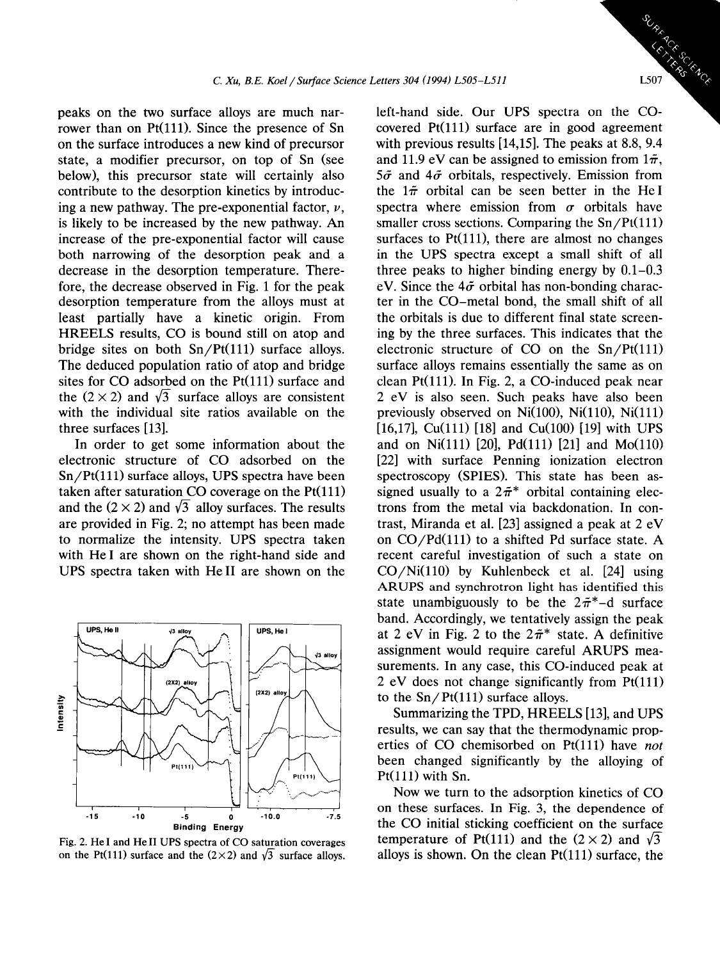peaks on the two surface alloys are much narrower than on Pt(111). Since the presence of Sn on the surface introduces a new kind of precursor state, a modifier precursor, on top of Sn (see below), this precursor state will certainly also contribute to the desorption kinetics by introducing a new pathway. The pre-exponential factor,  $\nu$ , is likely to be increased by the new pathway. An increase of the pre-exponential factor will cause both narrowing of the desorption peak and a decrease in the desorption temperature. Therefore, the decrease observed in Fig. 1 for the peak desorption temperature from the alloys must at least partially have a kinetic origin. From HREELS results, CO is bound still on atop and bridge sites on both  $Sn/Pt(111)$  surface alloys. The deduced population ratio of atop and bridge sites for  $CO$  adsorbed on the  $Pt(111)$  surface and the  $(2 \times 2)$  and  $\sqrt{3}$  surface alloys are consistent with the individual site ratios available on the three surfaces [ 131.

In order to get some information about the electronic structure of CO adsorbed on the  $Sn/Pt(111)$  surface alloys, UPS spectra have been taken after saturation CO coverage on the  $Pt(111)$ and the  $(2 \times 2)$  and  $\sqrt{3}$  alloy surfaces. The results are provided in Fig. 2; no attempt has been made to normalize the intensity. UPS spectra taken with He1 are shown on the right-hand side and UPS spectra taken with He11 are shown on the



Fig. 2. He I and He II UPS spectra of CO saturation coverages on the Pt(111) surface and the  $(2\times 2)$  and  $\sqrt{3}$  surface alloys.

covered Pt(ll1) surface are in good agreement with previous results [14,15]. The peaks at 8.8, 9.4 and 11.9 eV can be assigned to emission from  $1\tilde{\pi}$ ,  $5\tilde{\sigma}$  and  $4\tilde{\sigma}$  orbitals, respectively. Emission from the  $1\pi$  orbital can be seen better in the HeI spectra where emission from  $\sigma$  orbitals have smaller cross sections. Comparing the  $Sn/Pt(111)$ surfaces to  $Pt(111)$ , there are almost no changes in the UPS spectra except a small shift of all three peaks to higher binding energy by 0.1-0.3 eV. Since the  $4\tilde{\sigma}$  orbital has non-bonding character in the CO-metal bond, the small shift of all the orbitals is due to different final state screening by the three surfaces. This indicates that the electronic structure of CO on the  $Sn/Pt(111)$ surface alloys remains essentially the same as on clean  $Pt(111)$ . In Fig. 2, a CO-induced peak near 2 eV is also seen. Such peaks have also been previously observed on  $Ni(100)$ ,  $Ni(110)$ ,  $Ni(111)$ [16,17],  $Cu(111)$  [18] and  $Cu(100)$  [19] with UPS and on Ni(111) [20], Pd(111) [21] and Mo(110) [22] with surface Penning ionization electron spectroscopy (SPIES). This state has been assigned usually to a  $2\tilde{\pi}^*$  orbital containing electrons from the metal via backdonation. In contrast, Miranda et al. [23] assigned a peak at 2 eV on CO/Pd(lll) to a shifted Pd surface state. A recent careful investigation of such a state on  $CO/Ni(110)$  by Kuhlenbeck et al. [24] using ARUPS and synchrotron light has identified this state unambiguously to be the  $2\tilde{\pi}^*$ -d surface band. Accordingly, we tentatively assign the peak at 2 eV in Fig. 2 to the  $2\tilde{\pi}^*$  state. A definitive assignment would require careful ARUPS measurements. In any case, this CO-induced peak at 2 eV does not change significantly from  $Pt(111)$ to the  $Sn/Pt(111)$  surface alloys. left-hand side. Our UPS spectra on the CO-

Summarizing the TPD, HREELS [13], and UPS results, we can say that the thermodynamic properties of CO chemisorbed on Pt(l11) have *not*  been changed significantly by the alloying of  $Pt(111)$  with Sn.

Now we turn to the adsorption kinetics of CO on these surfaces. In Fig. 3, the dependence of the CO initial sticking coefficient on the surface temperature of Pt(111) and the  $(2 \times 2)$  and  $\sqrt{3}$ alloys is shown. On the clean  $Pt(111)$  surface, the



ESCIENCE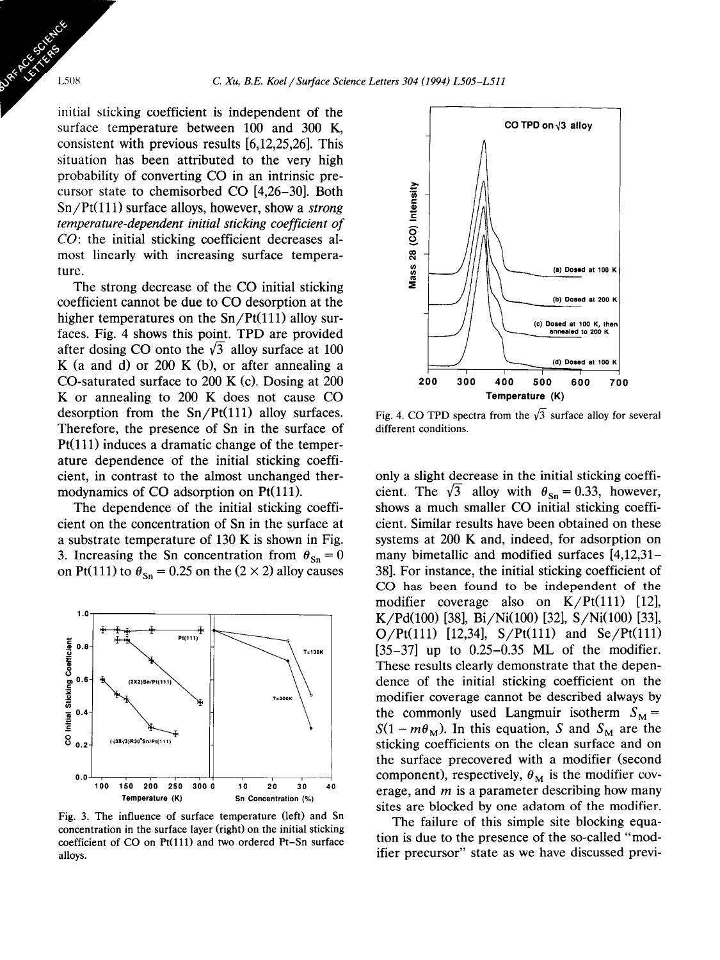initial sticking coefficient is independent of the surface temperature between 100 and 300 K, consistent with previous results [6,12,25,26]. This situation has been attributed to the very high probability of converting CO in an intrinsic precursor state to chemisorbed CO [4,26-301. Both  $Sn/Pt(111)$  surface alloys, however, show a *strong temperature-dependent initial sticking coefficient of CO:* the initial sticking coefficient decreases almost linearly with increasing surface temperature.

The strong decrease of the CO initial sticking coefficient cannot be due to CO desorption at the higher temperatures on the  $Sn/Pt(111)$  alloy surfaces. Fig. 4 shows this point. TPD are provided after dosing CO onto the  $\sqrt{3}$  alloy surface at 100 K (a and d) or 200 K (b), or after annealing a CO-saturated surface to  $200 \text{ K}$  (c). Dosing at  $200 \text{ K}$ K or annealing to 200 K does not cause CO desorption from the  $Sn/Pt(111)$  alloy surfaces. Therefore, the presence of Sn in the surface of  $Pt(111)$  induces a dramatic change of the temperature dependence of the initial sticking coefficient, in contrast to the almost unchanged thermodynamics of CO adsorption on Pt(111).

The dependence of the initial sticking coefficient on the concentration of Sn in the surface at a substrate temperature of 130 K is shown in Fig. 3. Increasing the Sn concentration from  $\theta_{\text{Sn}} = 0$ on Pt(111) to  $\theta_{\text{Sn}} = 0.25$  on the (2 × 2) alloy causes



Fig. 3. The influence of surface temperature (left) and Sn concentration in the surface layer (right) on the initial sticking coefficient of CO on Pt(ll1) and two ordered Pt-Sn surface alloys.



Fig. 4. CO TPD spectra from the  $\sqrt{3}$  surface alloy for several different conditions.

only a slight decrease in the initial sticking coefficient. The  $\sqrt{3}$  alloy with  $\theta_{\text{Sn}} = 0.33$ , however, shows a much smaller CO initial sticking coefficient. Similar results have been obtained on these systems at 200 K and, indeed, for adsorption on many bimetallic and modified surfaces [4,12,31- 381. For instance, the initial sticking coefficient of CO has been found to be independent of the modifier coverage also on  $K/Pt(111)$  [12], K/Pd(100) [38], Bi/Ni(100) [32], S/Ni(100) [33], O/Pt(111) [12,34],  $S/Pt(111)$  and  $Se/Pt(111)$  $[35-37]$  up to  $0.25-0.35$  ML of the modifier. These results clearly demonstrate that the dependence of the initial sticking coefficient on the modifier coverage cannot be described always by the commonly used Langmuir isotherm  $S_M =$  $S(1 - m\theta_M)$ . In this equation, S and  $S_M$  are the sticking coefficients on the clean surface and on the surface precovered with a modifier (second component), respectively,  $\theta_M$  is the modifier coverage, and *m* is a parameter describing how many sites are blocked by one adatom of the modifier.

The failure of this simple site blocking equation is due to the presence of the so-called "modifier precursor" state as we have discussed previ-

1.508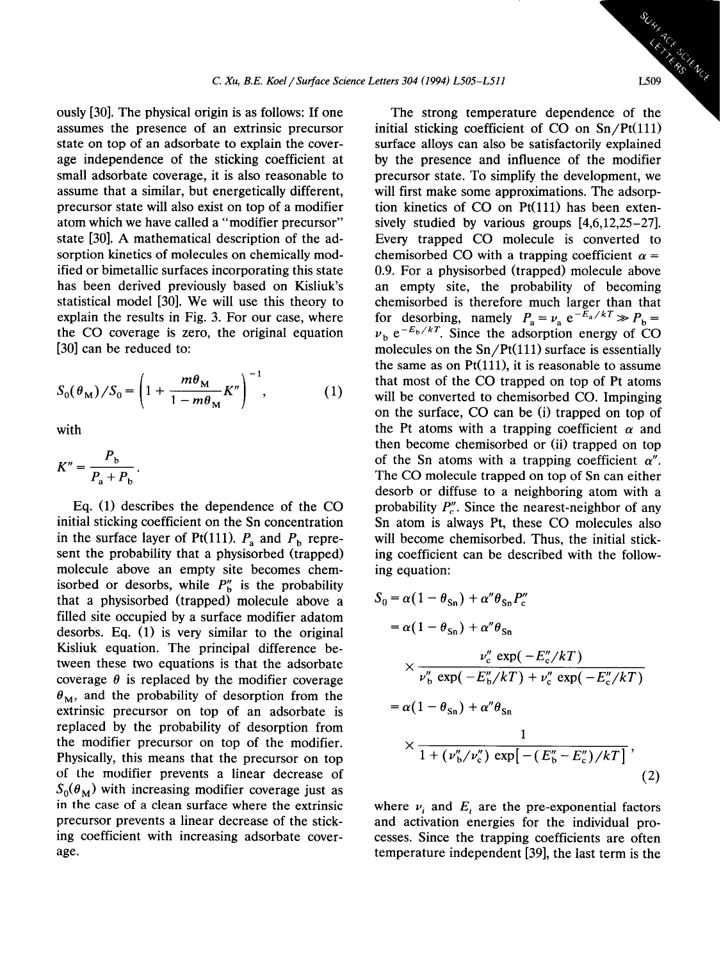ously [30]. The physical origin is as follows: If one assumes the presence of an extrinsic precursor state on top of an adsorbate to explain the coverage independence of the sticking coefficient at small adsorbate coverage, it is also reasonable to assume that a similar, but energetically different, precursor state will also exist on top of a modifier atom which we have called a "modifier precursor" state [30]. A mathematical description of the adsorption kinetics of molecules on chemically modified or bimetallic surfaces incorporating this state has been derived previously based on Kisliuk's statistical model [30]. We will use this theory to explain the results in Fig. 3. For our case, where the CO coverage is zero, the original equation [30] can be reduced to:

$$
S_0(\theta_M)/S_0 = \left(1 + \frac{m\theta_M}{1 - m\theta_M}K''\right)^{-1},\tag{1}
$$

with

$$
K'' = \frac{P_{\rm b}}{P_{\rm a} + P_{\rm b}}.
$$

Eq. (1) describes the dependence of the CO initial sticking coefficient on the Sn concentration in the surface layer of Pt(111).  $P_a$  and  $P_b$  represent the probability that a physisorbed (trapped) molecule above an empty site becomes chemisorbed or desorbs, while  $P''_b$  is the probability that a physisorbed (trapped) molecule above a filled site occupied by a surface modifier adatom desorbs. Eq. (1) is very similar to the original Kisliuk equation. The principal difference between these two equations is that the adsorbate coverage  $\theta$  is replaced by the modifier coverage  $\theta_{\rm M}$ , and the probability of desorption from the extrinsic precursor on top of an adsorbate is replaced by the probability of desorption from the modifier precursor on top of the modifier. Physically, this means that the precursor on top of the modifier prevents a linear decrease of  $S_0(\theta_M)$  with increasing modifier coverage just as in the case of a clean surface where the extrinsic precursor prevents a linear decrease of the sticking coefficient with increasing adsorbate coverage.

The strong temperature dependence of the initial sticking coefficient of CO on  $Sn/Pt(111)$ surface alloys can also be satisfactorily explained by the presence and influence of the modifier precursor state. To simplify the development, we will first make some approximations. The adsorption kinetics of  $CO$  on  $Pt(111)$  has been extensively studied by various groups [4,6,12,25-271. Every trapped CO molecule is converted to chemisorbed CO with a trapping coefficient  $\alpha =$ 0.9. For a physisorbed (trapped) molecule above an empty site, the probability of becoming chemisorbed is therefore much larger than that for desorbing, namely  $P_a = v_a e^{-E_a/kT} \gg P_b =$  $v<sub>b</sub> e<sup>-E<sub>b</sub>/kT</sup>$ . Since the adsorption energy of CO molecules on the  $Sn/Pt(111)$  surface is essentially the same as on  $Pt(111)$ , it is reasonable to assume that most of the CO trapped on top of Pt atoms will be converted to chemisorbed CO. Impinging on the surface, CO can be (i) trapped on top of the Pt atoms with a trapping coefficient  $\alpha$  and then become chemisorbed or (ii) trapped on top of the Sn atoms with a trapping coefficient  $\alpha''$ . The CO molecule trapped on top of Sn can either desorb or diffuse to a neighboring atom with a probability  $P''_n$ . Since the nearest-neighbor of any Sn atom is always Pt, these CO molecules also will become chemisorbed. Thus, the initial sticking coefficient can be described with the following equation:

$$
S_0 = \alpha (1 - \theta_{\rm Sn}) + \alpha'' \theta_{\rm Sn} P''_{\rm c}
$$
  
=  $\alpha (1 - \theta_{\rm Sn}) + \alpha'' \theta_{\rm Sn}$   

$$
\times \frac{\nu''_{\rm c} \exp(-E''_{\rm c}/kT)}{\nu''_{\rm b} \exp(-E''_{\rm b}/kT) + \nu''_{\rm c} \exp(-E''_{\rm c}/kT)}
$$
  
=  $\alpha (1 - \theta_{\rm Sn}) + \alpha'' \theta_{\rm Sn}$   

$$
\times \frac{1}{1 + (\nu''_{\rm b}/\nu''_{\rm c}) \exp[-(E''_{\rm b} - E''_{\rm c})/kT]},
$$
 (2)

where  $\nu_i$  and  $E_i$  are the pre-exponential factors and activation energies for the individual processes. Since the trapping coefficients are often temperature independent [39], the last term is the

Science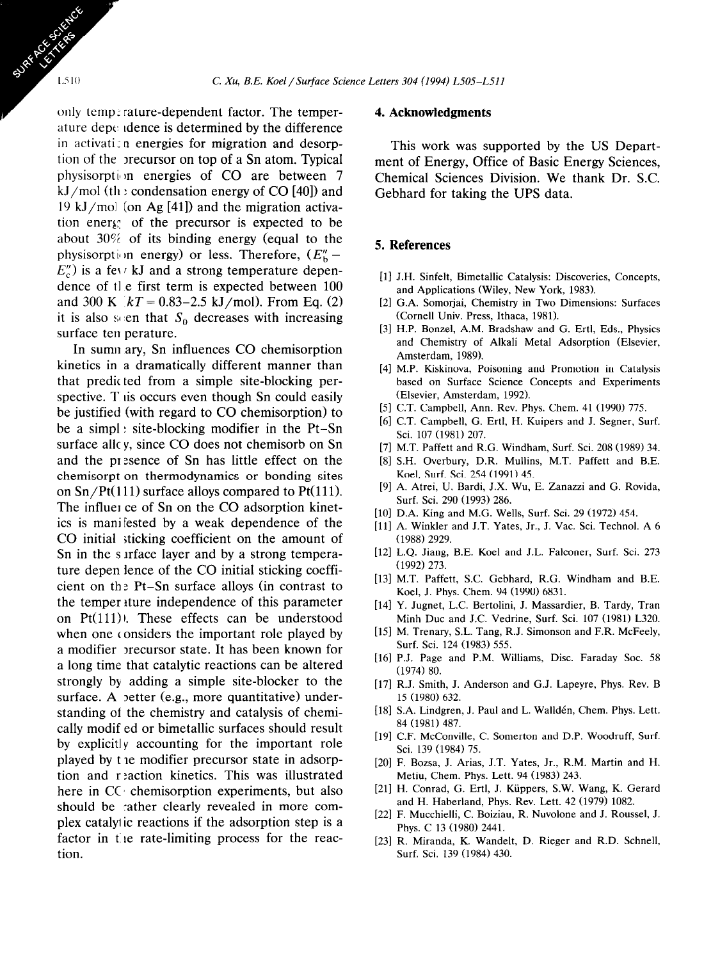only temp; rature-dependent factor. The temperature depc, tdence is determined by the difference in activati: n energies for migration and desorption of the precursor on top of a Sn atom. Typical physisorption energies of  $CO$  are between 7 kJ/mol (the condensation energy of CO [40]) and 19 kJ/mol (on Ag [41]) and the migration activation energ: of the precursor is expected to be about 30% of its binding energy (equal to the physisorption energy) or less. Therefore,  $(E''_b E_{c}''$ ) is a fev kJ and a strong temperature dependence of the first term is expected between 100 and 300 K *kT = 0.83-2.5* kJ/mol). From Eq. (2) it is also seen that  $S_0$  decreases with increasing surface ten perature.

In sumn ary, Sn influences CO chemisorption kinetics in a dramatically different manner than that predicted from a simple site-blocking perspective. This occurs even though Sn could easily be justified (with regard to CO chemisorption) to be a simpl : site-blocking modifier in the Pt-Sn surface allc y, since CO does not chemisorb on Sn and the pr :sence of Sn has little effect on the chemisorpt on thermodynamics or bonding sites on  $Sn/Pt(111)$  surface alloys compared to  $Pt(111)$ . The influer ce of Sn on the CO adsorption kinetics is manifested by a weak dependence of the CO initial sticking coefficient on the amount of Sn in the surface layer and by a strong temperature depen lence of the CO initial sticking coefficient on th: Pt-Sn surface alloys (in contrast to the temper iture independence of this parameter on  $Pt(111)$ ). These effects can be understood when one considers the important role played by a modifier precursor state. It has been known for a long time that catalytic reactions can be altered strongly by adding a simple site-blocker to the surface. A petter (e.g., more quantitative) understanding of the chemistry and catalysis of chemically modif ed or bimetallic surfaces should result by explicitly accounting for the important role played by t re modifier precursor state in adsorption and r :action kinetics. This was illustrated here in CC' chemisorption experiments, but also should be cather clearly revealed in more complex catalyi ic reactions if the adsorption step is a factor in the rate-limiting process for the reaction.

#### **4. Acknowledgments**

This work was supported by the US Department of Energy, Office of Basic Energy Sciences, Chemical Sciences Division. We thank Dr. S.C. Gebhard for taking the UPS data.

## 5. **References**

- [l] J.H. Sinfelt, Bimetallic Catalysis: Discoveries, Concepts, and Applications (Wiley, New York, 1983).
- [2] G.A. Somorjai, Chemistry in Two Dimensions: Surfaces (Cornell Univ. Press, Ithaca, 1981).
- [3] H.P. Bonzel, A.M. Bradshaw and G. Ertl, Eds., Physics and Chemistry of Alkali Metal Adsorption (Elsevier, Amsterdam, 1989).
- [4] M.P. Kiskinova, Poisoning and Promotion in Catalysis based on Surface Science Concepts and Experiments (Elsevier, Amsterdam, 1992).
- [5] C.T. Campbell, Ann. Rev. Phys. Chem. 41 (1990) 775.
- [6] C.T. Campbell, G. Ertl, H. Kuipers and J. Segner, Surf. Sci. 107 (1981) 207.
- [7] M.T. Paffett and R.G. Windham, Surf. Sci. 208 (1989) 34.
- [8] S.H. Overbury, D.R. Mullins, M.T. Paffett and B.E. Keel, Surf. Sci. 254 (1991) 45.
- [9] A. Atrei, U. Bardi, J.X. Wu, E. Zanazzi and G. Rovida, Surf. Sci. 290 (1993) 286.
- [10] D.A. King and M.G. Wells, Surf. Sci. 29 (1972) 454.
- [11] A. Winkler and J.T. Yates, Jr., J. Vac. Sci. Technol. A 6 (1988) 2929.
- [12] L.O. Jiang, B.E. Koel and J.L. Falconer, Surf. Sci. 273 (1992) 273.
- [13] M.T. Paffett, S.C. Gebhard, R.G. Windham and B.E. Keel, J. Phys. Chem. 94 (1990) 6831.
- [14] Y. Jugnet, L.C. Bertolini, J. Massardier, B. Tardy, Tran Minh Due and J.C. Vedrine, Surf. Sci. 107 (1981) L320.
- [15] M. Trenary, S.L. Tang, R.J. Simonson and F.R. McFeely, Surf. Sci. 124 (1983) 555.
- [16] P.J. Page and P.M. Williams, Disc. Faraday Soc. 58 (1974) 80.
- [17] R.J. Smith, J. Anderson and G.J. Lapeyre, Phys. Rev. B 15 (1980) 632.
- [18] S.A. Lindgren, J. Paul and L. Walldén, Chem. Phys. Lett. 84 (1981) 487.
- [19] C.F. McConville, C. Somerton and D.P. Woodruff, Surf. Sci. 139 (1984) 75.
- [20] F. Bozsa, J. Arias, J.T. Yates, Jr., R.M. Martin and H. Metiu, Chem. Phys. Lett. 94 (1983) 243.
- [21] H. Conrad, G. Ertl, J. Kiippers, S.W. Wang, K. Gerard and H. Haberland, Phys. Rev. Lett. 42 (1979) 1082.
- [22] F. Mucchielli, C. Boiziau, R. Nuvolone and J. Roussel, J. Phys. C 13 (1980) 2441.
- [23] R. Miranda, K. Wandelt, D. Rieger and R.D. Schnell, Surf. Sci. 139 (1984) 430.

L510